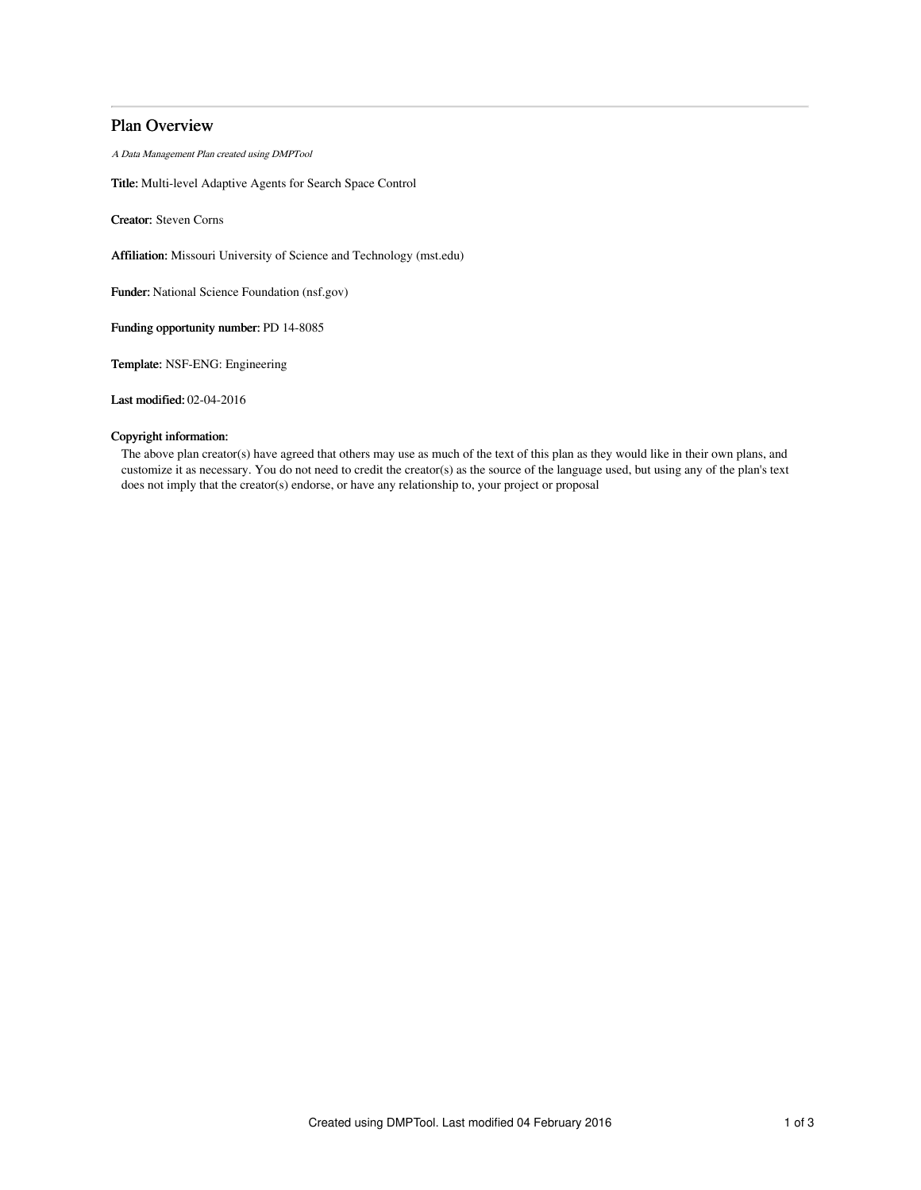# Plan Overview

A Data Management Plan created using DMPTool

Title: Multi-level Adaptive Agents for Search Space Control

Creator: Steven Corns

Affiliation: Missouri University of Science and Technology (mst.edu)

Funder: National Science Foundation (nsf.gov)

Funding opportunity number: PD 14-8085

Template: NSF-ENG: Engineering

Last modified: 02-04-2016

# Copyright information:

The above plan creator(s) have agreed that others may use as much of the text of this plan as they would like in their own plans, and customize it as necessary. You do not need to credit the creator(s) as the source of the language used, but using any of the plan's text does not imply that the creator(s) endorse, or have any relationship to, your project or proposal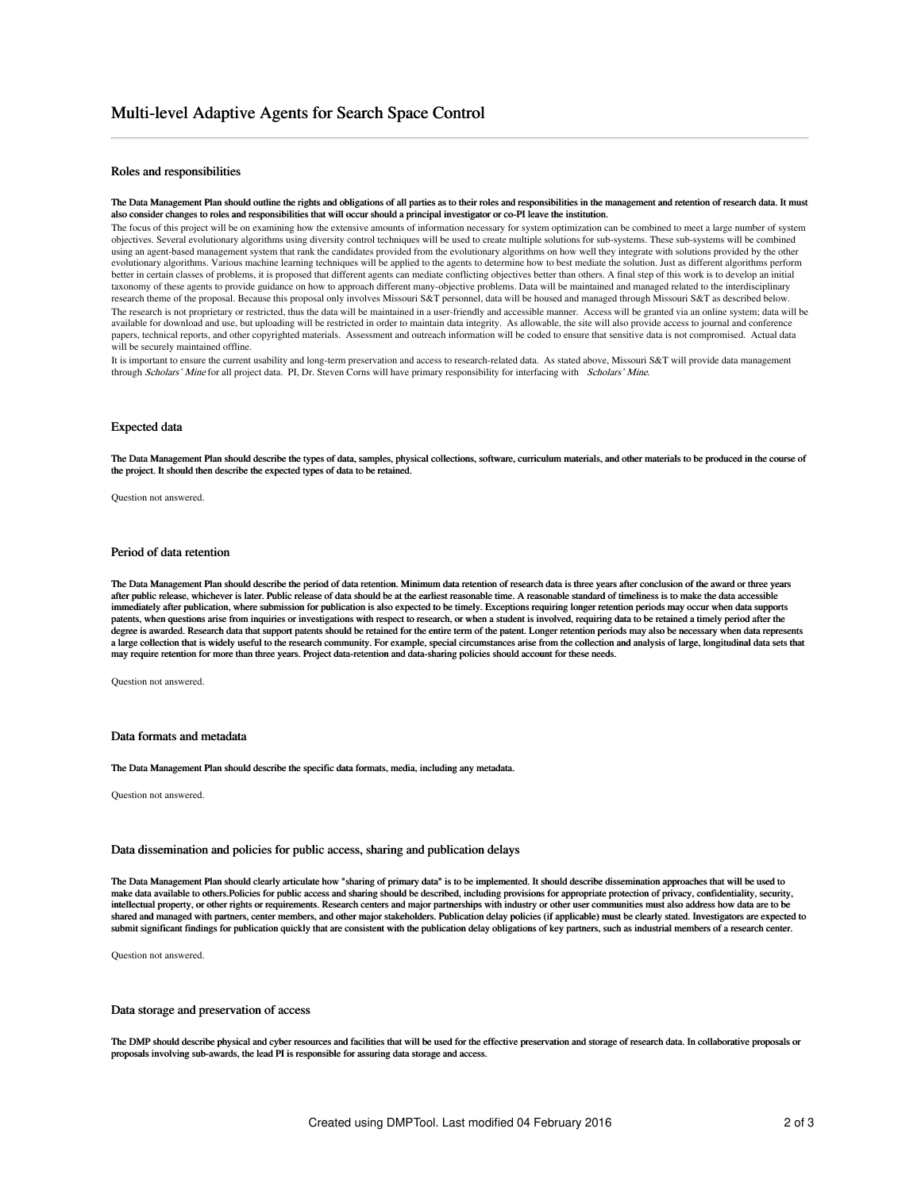## Roles and responsibilities

#### The Data Management Plan should outline the rights and obligations of all parties as to their roles and responsibilities in the management and retention of research data. It must also consider changes to roles and responsibilities that will occur should a principal investigator or co-PI leave the institution.

The focus of this project will be on examining how the extensive amounts of information necessary for system optimization can be combined to meet a large number of system objectives. Several evolutionary algorithms using diversity control techniques will be used to create multiple solutions for sub-systems. These sub-systems will be combined using an agent-based management system that rank the candidates provided from the evolutionary algorithms on how well they integrate with solutions provided by the other evolutionary algorithms. Various machine learning techniques will be applied to the agents to determine how to best mediate the solution. Just as different algorithms perform better in certain classes of problems, it is proposed that different agents can mediate conflicting objectives better than others. A final step of this work is to develop an initial taxonomy of these agents to provide guidance on how to approach different many-objective problems. Data will be maintained and managed related to the interdisciplinary research theme of the proposal. Because this proposal only involves Missouri S&T personnel, data will be housed and managed through Missouri S&T as described below. The research is not proprietary or restricted, thus the data will be maintained in a user-friendly and accessible manner. Access will be granted via an online system; data will be available for download and use, but uploading will be restricted in order to maintain data integrity. As allowable, the site will also provide access to journal and conference papers, technical reports, and other copyrighted materials. Assessment and outreach information will be coded to ensure that sensitive data is not compromised. Actual data is not compromised. Actual data will be securely maintained offline.

It is important to ensure the current usability and long-term preservation and access to research-related data. As stated above, Missouri S&T will provide data management through Scholars' Mine for all project data. PI, Dr. Steven Corns will have primary responsibility for interfacing with Scholars' Mine.

### Expected data

The Data Management Plan should describe the types of data, samples, physical collections, software, curriculum materials, and other materials to be produced in the course of the project. It should then describe the expected types of data to be retained.

Question not answered.

## Period of data retention

The Data Management Plan should describe the period of data retention. Minimum data retention of research data is three years after conclusion of the award or three years after public release, whichever is later. Public release of data should be at the earliest reasonable time. A reasonable standard of timeliness is to make the data accessible immediately after publication, where submission for publication is also expected to be timely. Exceptions requiring longer retention periods may occur when data supports patents, when questions arise from inquiries or investigations with respect to research, or when a student is involved, requiring data to be retained a timely period after the degree is awarded. Research data that support patents should be retained for the entire term of the patent. Longer retention periods may also be necessary when data represents a large collection that is widely useful to the research community. For example, special circumstances arise from the collection and analysis of large, longitudinal data sets that may require retention for more than three years. Project data-retention and data-sharing policies should account for these needs.

Question not answered.

### Data formats and metadata

The Data Management Plan should describe the specific data formats, media, including any metadata.

Question not answered.

### Data dissemination and policies for public access, sharing and publication delays

The Data Management Plan should clearly articulate how "sharing of primary data" is to be implemented. It should describe dissemination approaches that will be used to make data available to others.Policies for public access and sharing should be described, including provisions for appropriate protection of privacy, confidentiality, security, intellectual property, or other rights or requirements. Research centers and major partnerships with industry or other user communities must also address how data are to be shared and managed with partners, center members, and other major stakeholders. Publication delay policies (if applicable) must be clearly stated. Investigators are expected to submit significant findings for publication quickly that are consistent with the publication delay obligations of key partners, such as industrial members of a research center.

Question not answered.

#### Data storage and preservation of access

The DMP should describe physical and cyber resources and facilities that will be used for the effective preservation and storage of research data. In collaborative proposals or proposals involving sub-awards, the lead PI is responsible for assuring data storage and access.